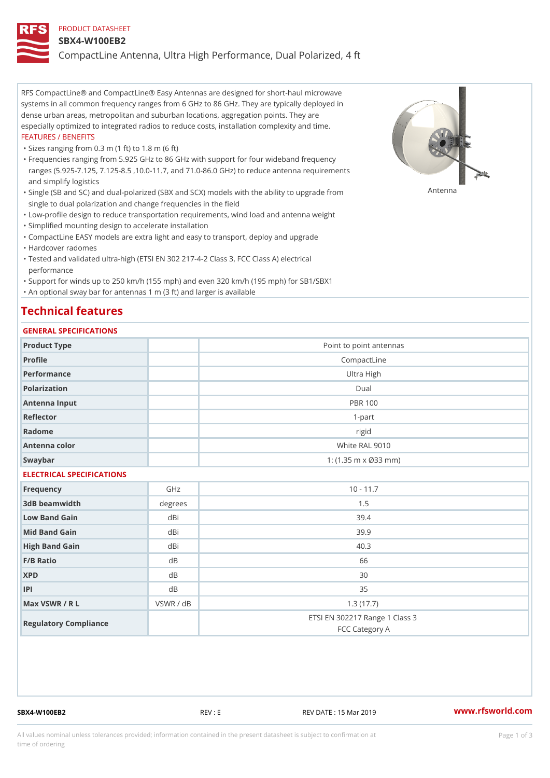#### PRODUCT DATASHEET

#### SBX4-W100EB2

CompactLine Antenna, Ultra High Performance, Dual Polarized, 4 ft

RFS CompactLine® and CompactLine® Easy Antennas are designed for short-haul microwave systems in all common frequency ranges from 6 GHz to 86 GHz. They are typically deployed in dense urban areas, metropolitan and suburban locations, aggregation points. They are especially optimized to integrated radios to reduce costs, installation complexity and time. FEATURES / BENEFITS

"Sizes ranging from 0.3 m (1 ft) to 1.8 m (6 ft)

Frequencies ranging from 5.925 GHz to 86 GHz with support for four wideband frequency " ranges (5.925-7.125, 7.125-8.5 ,10.0-11.7, and 71.0-86.0 GHz) to reduce antenna requirements and simplify logistics

"Single (SB and SC) and dual-polarized (SBX and SCX) models with the abili $\mathsf{f} \gamma^{\mathsf{n}} \mathsf{t} \mathsf{B}^{\mathsf{n}} \mathsf{u} \mathsf{p} \mathsf{B}$ grade from single to dual polarization and change frequencies in the field

"Low-profile design to reduce transportation requirements, wind load and antenna weight

"Simplified mounting design to accelerate installation

 "CompactLine EASY models are extra light and easy to transport, deploy and upgrade "Hardcover radomes

Tested and validated ultra-high (ETSI EN 302 217-4-2 Class 3, FCC Class A) electrical " performance

 "Support for winds up to 250 km/h (155 mph) and even 320 km/h (195 mph) for SB1/SBX1 "An optional sway bar for antennas 1 m (3 ft) and larger is available

# Technical features

## GENERAL SPECIFICATIONS

| GENERAL SELGIFICATIONS    |           |                                                  |  |  |  |
|---------------------------|-----------|--------------------------------------------------|--|--|--|
| Product Type              |           | Point to point antennas                          |  |  |  |
| Profile                   |           | CompactLine                                      |  |  |  |
| Performance               |           | Ultra High                                       |  |  |  |
| Polarization              |           | $D$ ual                                          |  |  |  |
| Antenna Input             |           | <b>PBR 100</b>                                   |  |  |  |
| Reflector                 |           | $1 - p$ art                                      |  |  |  |
| Radome                    |           | rigid                                            |  |  |  |
| Antenna color             |           | White RAL 9010                                   |  |  |  |
| Swaybar                   |           | 1: $(1.35 \, m \times \emptyset 33 \, mm)$       |  |  |  |
| ELECTRICAL SPECIFICATIONS |           |                                                  |  |  |  |
| Frequency                 | GHz       | $10 - 11.7$                                      |  |  |  |
| 3dB beamwidth             | degree:   | 1.5                                              |  |  |  |
| Low Band Gain             | dBi       | 39.4                                             |  |  |  |
| Mid Band Gain             | dBi       | 39.9                                             |  |  |  |
| High Band Gain            | dBi       | 40.3                                             |  |  |  |
| F/B Ratio                 | d B       | 66                                               |  |  |  |
| <b>XPD</b>                | d B       | 30                                               |  |  |  |
| P                         | d B       | 35                                               |  |  |  |
| Max VSWR / R L            | VSWR / dB | 1.3(17.7)                                        |  |  |  |
| Regulatory Compliance     |           | ETSI EN 302217 Range 1 Class 3<br>FCC Category A |  |  |  |

SBX4-W100EB2 REV : E REV DATE : 15 Mar 2019 [www.](https://www.rfsworld.com)rfsworld.com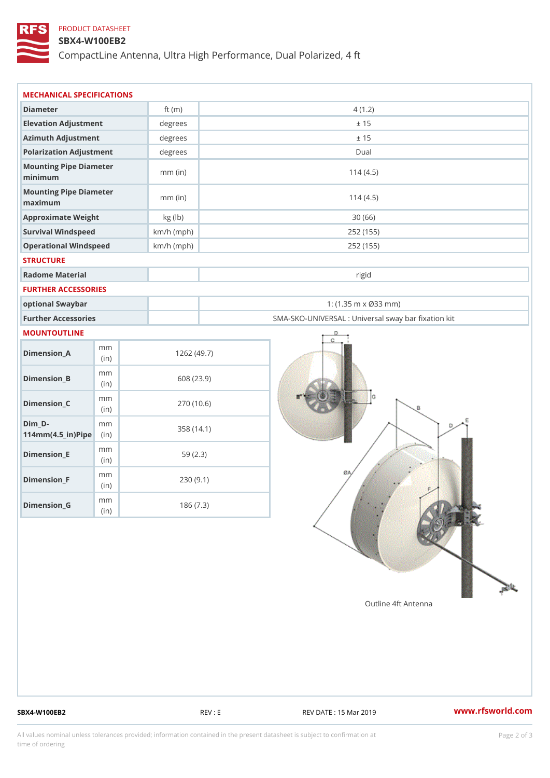## PRODUCT DATASHEET

## SBX4-W100EB2

CompactLine Antenna, Ultra High Performance, Dual Polarized, 4 ft

| MECHANICAL SPECIFICATIONS                           |              |              |                                                   |  |
|-----------------------------------------------------|--------------|--------------|---------------------------------------------------|--|
| Diameter                                            |              | ft $(m)$     | 4(1.2)                                            |  |
| Elevation Adjustment                                |              | degrees      | ± 15                                              |  |
| Azimuth Adjustment                                  |              | degrees      | ± 15                                              |  |
| Polarization Adjustment                             |              | degrees      | Dual                                              |  |
| Mounting Pipe Diameter<br>minimum                   |              | $mm$ (in)    | 114(4.5)                                          |  |
| Mounting Pipe Diameter<br>maximum                   |              | $mm$ (in)    | 114(4.5)                                          |  |
| Approximate Weight                                  |              | kg (lb)      | 30(66)                                            |  |
| Survival Windspeed                                  |              | $km/h$ (mph) | 252 (155)                                         |  |
| Operational Windspeed                               |              | $km/h$ (mph) | 252 (155)                                         |  |
| <b>STRUCTURE</b>                                    |              |              |                                                   |  |
| Radome Material                                     |              |              | rigid                                             |  |
| FURTHER ACCESSORIES                                 |              |              |                                                   |  |
| optional Swaybar                                    |              |              | 1: $(1.35 m \times 033 m)$                        |  |
| Further Accessories                                 |              |              | SMA-SKO-UNIVERSAL : Universal sway bar fixation l |  |
| MOUNTOUTLINE                                        |              |              |                                                   |  |
| $Dimension_A$                                       | m m<br>(in)  |              | 1262(49.7)                                        |  |
| $Dimension_B$                                       | m m<br>(i n) |              | 608 (23.9)                                        |  |
| $Dimension_C$                                       | m m<br>(i n) |              | 270 (10.6)                                        |  |
| $Dim_D -$<br>$114$ m m $(4.5$ _ ir $)$ $R$ ii p $e$ | m m          |              | 358 (14.1)                                        |  |
| $Dimension$ = E                                     | m m<br>(in)  |              | 59(2.3)                                           |  |
| $Dimension_F$                                       | m m<br>(in)  |              | 230(9.1)                                          |  |
| $D$ imension $_G$                                   | m m<br>(in)  |              | 186(7.3)                                          |  |

SBX4-W100EB2 REV : E REV : REV DATE : 15 Mar 2019 WWW.rfsworld.com

All values nominal unless tolerances provided; information contained in the present datasheet is subject to Pcapgelio an atio time of ordering